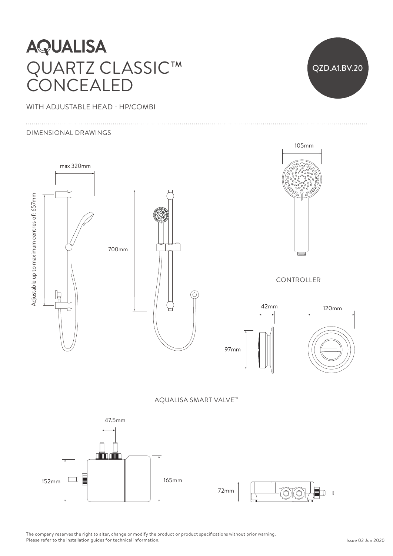## **AQUALISA** QUARTZ CLASSIC™  $\Gamma$  Ceiling and be cut shorter to suit ceiling  $\Gamma$ CONCEALED  $\curvearrowright$

WITH ADJUSTABLE HEAD - HP/COMBI

### DIMENSIONAL DRAWINGS





The company reserves the right to alter, change or modify the product or product specifications without prior warning. Please refer to the installation guides for technical information.